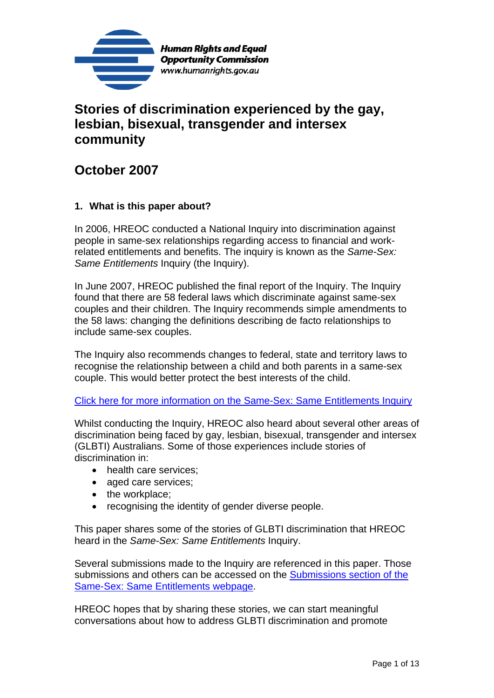

# **Stories of discrimination experienced by the gay, lesbian, bisexual, transgender and intersex community**

# **October 2007**

# **1. What is this paper about?**

In 2006, HREOC conducted a National Inquiry into discrimination against people in same-sex relationships regarding access to financial and workrelated entitlements and benefits. The inquiry is known as the *Same-Sex: Same Entitlements* Inquiry (the Inquiry).

In June 2007, HREOC published the final report of the Inquiry. The Inquiry found that there are 58 federal laws which discriminate against same-sex couples and their children. The Inquiry recommends simple amendments to the 58 laws: changing the definitions describing de facto relationships to include same-sex couples.

The Inquiry also recommends changes to federal, state and territory laws to recognise the relationship between a child and both parents in a same-sex couple. This would better protect the best interests of the child.

### Click here for more information on the Same-Sex: Same Entitlements Inquiry

Whilst conducting the Inquiry, HREOC also heard about several other areas of discrimination being faced by gay, lesbian, bisexual, transgender and intersex (GLBTI) Australians. Some of those experiences include stories of discrimination in:

- health care services;
- aged care services;
- the workplace;
- recognising the identity of gender diverse people.

This paper shares some of the stories of GLBTI discrimination that HREOC heard in the *Same-Sex: Same Entitlements* Inquiry.

Several submissions made to the Inquiry are referenced in this paper. Those submissions and others can be accessed on the Submissions section of the Same-Sex: Same Entitlements webpage.

HREOC hopes that by sharing these stories, we can start meaningful conversations about how to address GLBTI discrimination and promote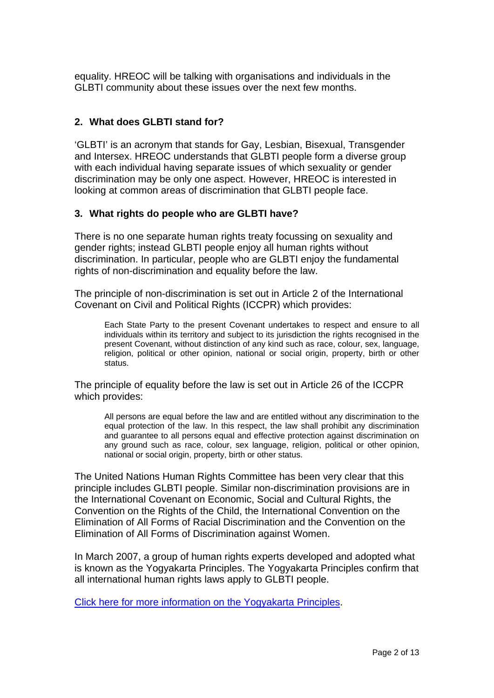equality. HREOC will be talking with organisations and individuals in the GLBTI community about these issues over the next few months.

# **2. What does GLBTI stand for?**

'GLBTI' is an acronym that stands for Gay, Lesbian, Bisexual, Transgender and Intersex. HREOC understands that GLBTI people form a diverse group with each individual having separate issues of which sexuality or gender discrimination may be only one aspect. However, HREOC is interested in looking at common areas of discrimination that GLBTI people face.

### **3. What rights do people who are GLBTI have?**

There is no one separate human rights treaty focussing on sexuality and gender rights; instead GLBTI people enjoy all human rights without discrimination. In particular, people who are GLBTI enjoy the fundamental rights of non-discrimination and equality before the law.

The principle of non-discrimination is set out in Article 2 of the International Covenant on Civil and Political Rights (ICCPR) which provides:

Each State Party to the present Covenant undertakes to respect and ensure to all individuals within its territory and subject to its jurisdiction the rights recognised in the present Covenant, without distinction of any kind such as race, colour, sex, language, religion, political or other opinion, national or social origin, property, birth or other status.

The principle of equality before the law is set out in Article 26 of the ICCPR which provides:

All persons are equal before the law and are entitled without any discrimination to the equal protection of the law. In this respect, the law shall prohibit any discrimination and guarantee to all persons equal and effective protection against discrimination on any ground such as race, colour, sex language, religion, political or other opinion, national or social origin, property, birth or other status.

The United Nations Human Rights Committee has been very clear that this principle includes GLBTI people. Similar non-discrimination provisions are in the International Covenant on Economic, Social and Cultural Rights, the Convention on the Rights of the Child, the International Convention on the Elimination of All Forms of Racial Discrimination and the Convention on the Elimination of All Forms of Discrimination against Women.

In March 2007, a group of human rights experts developed and adopted what is known as the Yogyakarta Principles. The Yogyakarta Principles confirm that all international human rights laws apply to GLBTI people.

Click here for more information on the Yogyakarta Principles.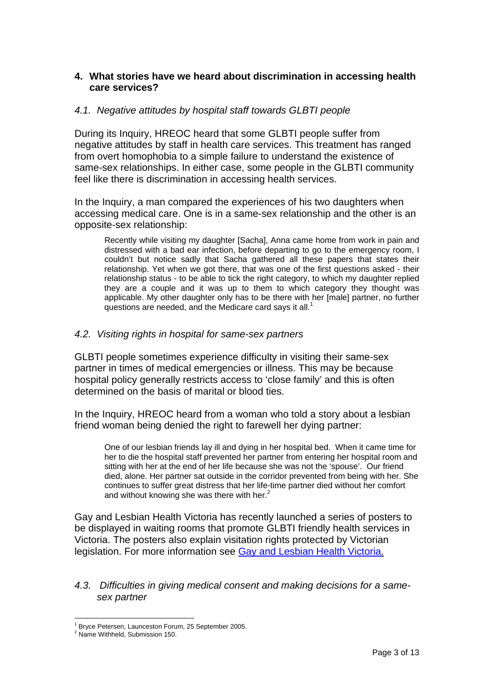## **4. What stories have we heard about discrimination in accessing health care services?**

#### *4.1. Negative attitudes by hospital staff towards GLBTI people*

During its Inquiry, HREOC heard that some GLBTI people suffer from negative attitudes by staff in health care services. This treatment has ranged from overt homophobia to a simple failure to understand the existence of same-sex relationships. In either case, some people in the GLBTI community feel like there is discrimination in accessing health services.

In the Inquiry, a man compared the experiences of his two daughters when accessing medical care. One is in a same-sex relationship and the other is an opposite-sex relationship:

Recently while visiting my daughter [Sacha], Anna came home from work in pain and distressed with a bad ear infection, before departing to go to the emergency room, I couldn't but notice sadly that Sacha gathered all these papers that states their relationship. Yet when we got there, that was one of the first questions asked - their relationship status - to be able to tick the right category, to which my daughter replied they are a couple and it was up to them to which category they thought was applicable. My other daughter only has to be there with her [male] partner, no further questions are needed, and the Medicare card says it all.<sup>1</sup>

#### *4.2. Visiting rights in hospital for same-sex partners*

GLBTI people sometimes experience difficulty in visiting their same-sex partner in times of medical emergencies or illness. This may be because hospital policy generally restricts access to 'close family' and this is often determined on the basis of marital or blood ties.

In the Inquiry, HREOC heard from a woman who told a story about a lesbian friend woman being denied the right to farewell her dying partner:

One of our lesbian friends lay ill and dying in her hospital bed. When it came time for her to die the hospital staff prevented her partner from entering her hospital room and sitting with her at the end of her life because she was not the 'spouse'. Our friend died, alone. Her partner sat outside in the corridor prevented from being with her. She continues to suffer great distress that her life-time partner died without her comfort and without knowing she was there with her. $2$ 

Gay and Lesbian Health Victoria has recently launched a series of posters to be displayed in waiting rooms that promote GLBTI friendly health services in Victoria. The posters also explain visitation rights protected by Victorian legislation. For more information see Gay and Lesbian Health Victoria.

#### *4.3. Difficulties in giving medical consent and making decisions for a samesex partner*

 $\overline{a}$ 1 Bryce Petersen, Launceston Forum, 25 September 2005.

<sup>&</sup>lt;sup>2</sup> Name Withheld, Submission 150.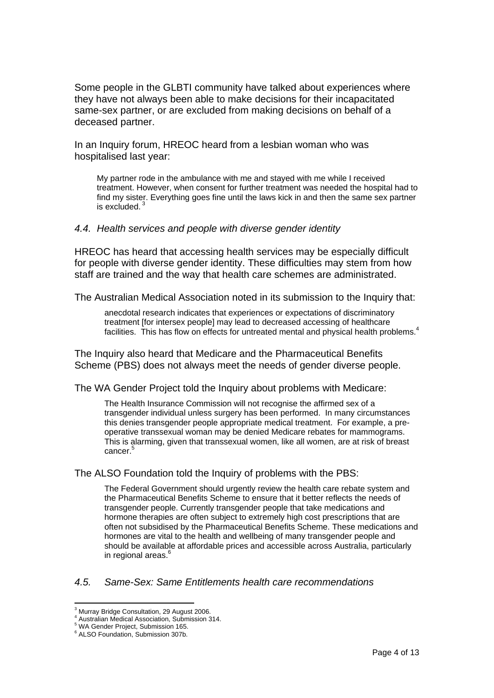Some people in the GLBTI community have talked about experiences where they have not always been able to make decisions for their incapacitated same-sex partner, or are excluded from making decisions on behalf of a deceased partner.

In an Inquiry forum, HREOC heard from a lesbian woman who was hospitalised last year:

My partner rode in the ambulance with me and stayed with me while I received treatment. However, when consent for further treatment was needed the hospital had to find my sister. Everything goes fine until the laws kick in and then the same sex partner is excluded. 3

#### *4.4. Health services and people with diverse gender identity*

HREOC has heard that accessing health services may be especially difficult for people with diverse gender identity. These difficulties may stem from how staff are trained and the way that health care schemes are administrated.

The Australian Medical Association noted in its submission to the Inquiry that:

anecdotal research indicates that experiences or expectations of discriminatory treatment [for intersex people] may lead to decreased accessing of healthcare facilities. This has flow on effects for untreated mental and physical health problems.<sup>4</sup>

The Inquiry also heard that Medicare and the Pharmaceutical Benefits Scheme (PBS) does not always meet the needs of gender diverse people.

The WA Gender Project told the Inquiry about problems with Medicare:

The Health Insurance Commission will not recognise the affirmed sex of a transgender individual unless surgery has been performed. In many circumstances this denies transgender people appropriate medical treatment. For example, a preoperative transsexual woman may be denied Medicare rebates for mammograms. This is alarming, given that transsexual women, like all women, are at risk of breast cancer.<sup>5</sup>

#### The ALSO Foundation told the Inquiry of problems with the PBS:

The Federal Government should urgently review the health care rebate system and the Pharmaceutical Benefits Scheme to ensure that it better reflects the needs of transgender people. Currently transgender people that take medications and hormone therapies are often subject to extremely high cost prescriptions that are often not subsidised by the Pharmaceutical Benefits Scheme. These medications and hormones are vital to the health and wellbeing of many transgender people and should be available at affordable prices and accessible across Australia, particularly in regional areas. $6$ 

#### *4.5. Same-Sex: Same Entitlements health care recommendations*

 $\overline{a}$ <sup>3</sup> Murray Bridge Consultation, 29 August 2006.

<sup>4</sup> Australian Medical Association, Submission 314.

<sup>5</sup> WA Gender Project, Submission 165.

<sup>6</sup> ALSO Foundation, Submission 307b.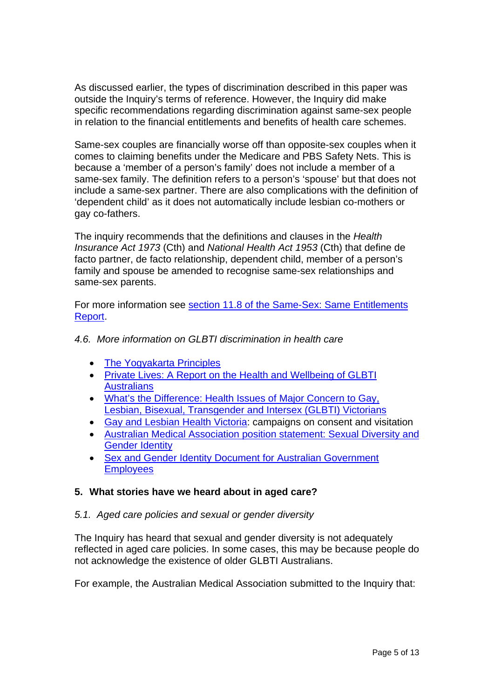As discussed earlier, the types of discrimination described in this paper was outside the Inquiry's terms of reference. However, the Inquiry did make specific recommendations regarding discrimination against same-sex people in relation to the financial entitlements and benefits of health care schemes.

Same-sex couples are financially worse off than opposite-sex couples when it comes to claiming benefits under the Medicare and PBS Safety Nets. This is because a 'member of a person's family' does not include a member of a same-sex family. The definition refers to a person's 'spouse' but that does not include a same-sex partner. There are also complications with the definition of 'dependent child' as it does not automatically include lesbian co-mothers or gay co-fathers.

The inquiry recommends that the definitions and clauses in the *Health Insurance Act 1973* (Cth) and *National Health Act 1953* (Cth) that define de facto partner, de facto relationship, dependent child, member of a person's family and spouse be amended to recognise same-sex relationships and same-sex parents.

For more information see section 11.8 of the Same-Sex: Same Entitlements Report.

# *4.6. More information on GLBTI discrimination in health care*

- The Yogyakarta Principles
- Private Lives: A Report on the Health and Wellbeing of GLBTI **Australians**
- What's the Difference: Health Issues of Major Concern to Gay, Lesbian, Bisexual, Transgender and Intersex (GLBTI) Victorians
- Gay and Lesbian Health Victoria: campaigns on consent and visitation
- Australian Medical Association position statement: Sexual Diversity and Gender Identity
- Sex and Gender Identity Document for Australian Government **Employees**

### **5. What stories have we heard about in aged care?**

### *5.1. Aged care policies and sexual or gender diversity*

The Inquiry has heard that sexual and gender diversity is not adequately reflected in aged care policies. In some cases, this may be because people do not acknowledge the existence of older GLBTI Australians.

For example, the Australian Medical Association submitted to the Inquiry that: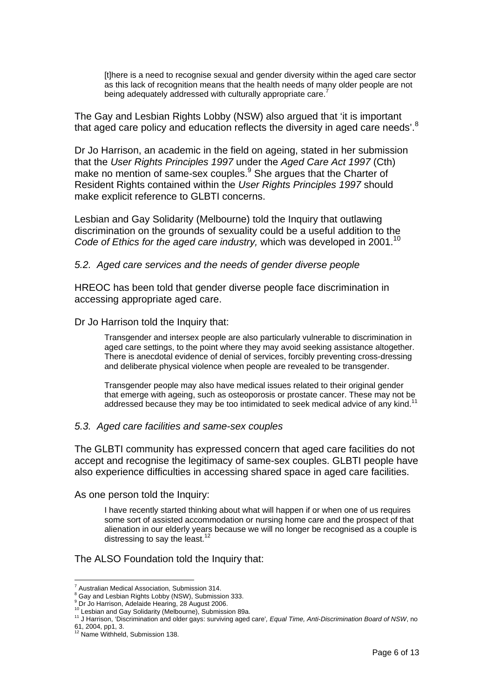[t]here is a need to recognise sexual and gender diversity within the aged care sector as this lack of recognition means that the health needs of many older people are not being adequately addressed with culturally appropriate care.<sup>7</sup>

The Gay and Lesbian Rights Lobby (NSW) also argued that 'it is important that aged care policy and education reflects the diversity in aged care needs'.<sup>8</sup>

Dr Jo Harrison, an academic in the field on ageing, stated in her submission that the *User Rights Principles 1997* under the *Aged Care Act 1997* (Cth) make no mention of same-sex couples.<sup>9</sup> She argues that the Charter of Resident Rights contained within the *User Rights Principles 1997* should make explicit reference to GLBTI concerns.

Lesbian and Gay Solidarity (Melbourne) told the Inquiry that outlawing discrimination on the grounds of sexuality could be a useful addition to the *Code of Ethics for the aged care industry, which was developed in 2001.*<sup>10</sup>

#### *5.2. Aged care services and the needs of gender diverse people*

HREOC has been told that gender diverse people face discrimination in accessing appropriate aged care.

Dr Jo Harrison told the Inquiry that:

Transgender and intersex people are also particularly vulnerable to discrimination in aged care settings, to the point where they may avoid seeking assistance altogether. There is anecdotal evidence of denial of services, forcibly preventing cross-dressing and deliberate physical violence when people are revealed to be transgender.

Transgender people may also have medical issues related to their original gender that emerge with ageing, such as osteoporosis or prostate cancer. These may not be addressed because they may be too intimidated to seek medical advice of any kind.<sup>11</sup>

#### *5.3. Aged care facilities and same-sex couples*

The GLBTI community has expressed concern that aged care facilities do not accept and recognise the legitimacy of same-sex couples. GLBTI people have also experience difficulties in accessing shared space in aged care facilities.

As one person told the Inquiry:

I have recently started thinking about what will happen if or when one of us requires some sort of assisted accommodation or nursing home care and the prospect of that alienation in our elderly years because we will no longer be recognised as a couple is distressing to say the least.<sup>12</sup>

The ALSO Foundation told the Inquiry that:

 $\overline{a}$ 

<sup>&</sup>lt;sup>7</sup> Australian Medical Association, Submission 314.

<sup>&</sup>lt;sup>8</sup> Gay and Lesbian Rights Lobby (NSW), Submission 333.

<sup>9</sup> Dr Jo Harrison, Adelaide Hearing, 28 August 2006.

<sup>10</sup> Lesbian and Gay Solidarity (Melbourne), Submission 89a.<br><sup>11</sup> Lesbian and Gay Solidarity (Melbourne), Submission 89a.<br><sup>11</sup> J Harrison, 'Discrimination and older gays: surviving aged care'*, Equal Time, Anti-Discriminatio* 

<sup>61, 2004,</sup> pp1, 3. 12 Name Withheld, Submission 138.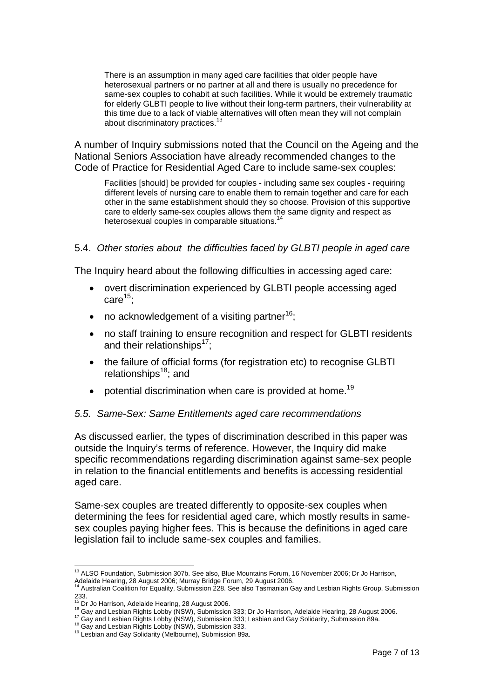There is an assumption in many aged care facilities that older people have heterosexual partners or no partner at all and there is usually no precedence for same-sex couples to cohabit at such facilities. While it would be extremely traumatic for elderly GLBTI people to live without their long-term partners, their vulnerability at this time due to a lack of viable alternatives will often mean they will not complain about discriminatory practices.<sup>13</sup>

A number of Inquiry submissions noted that the Council on the Ageing and the National Seniors Association have already recommended changes to the Code of Practice for Residential Aged Care to include same-sex couples:

Facilities [should] be provided for couples - including same sex couples - requiring different levels of nursing care to enable them to remain together and care for each other in the same establishment should they so choose. Provision of this supportive care to elderly same-sex couples allows them the same dignity and respect as heterosexual couples in comparable situations.<sup>14</sup>

#### 5.4. *Other stories about the difficulties faced by GLBTI people in aged care*

The Inquiry heard about the following difficulties in accessing aged care:

- overt discrimination experienced by GLBTI people accessing aged  $care<sup>15</sup>$ :
- no acknowledgement of a visiting partner<sup>16</sup>;
- no staff training to ensure recognition and respect for GLBTI residents and their relationships<sup>17</sup>;
- the failure of official forms (for registration etc) to recognise GLBTI relationships $18$ ; and
- potential discrimination when care is provided at home.<sup>19</sup>

### *5.5. Same-Sex: Same Entitlements aged care recommendations*

As discussed earlier, the types of discrimination described in this paper was outside the Inquiry's terms of reference. However, the Inquiry did make specific recommendations regarding discrimination against same-sex people in relation to the financial entitlements and benefits is accessing residential aged care.

Same-sex couples are treated differently to opposite-sex couples when determining the fees for residential aged care, which mostly results in samesex couples paying higher fees. This is because the definitions in aged care legislation fail to include same-sex couples and families.

 $\overline{a}$ <sup>13</sup> ALSO Foundation, Submission 307b. See also, Blue Mountains Forum, 16 November 2006; Dr Jo Harrison, Adelaide Hearing, 28 August 2006; Murray Bridge Forum, 29 August 2006.

<sup>14</sup> Australian Coalition for Equality, Submission 228. See also Tasmanian Gay and Lesbian Rights Group, Submission 233.<br><sup>15</sup> Dr Jo Harrison, Adelaide Hearing, 28 August 2006.<br>1<sup>5</sup> Dr Jo Harrison, Cichte Lobby (NSW). Submission

<sup>&</sup>lt;sup>16</sup> Dr Jo Harrison, Adelaide Hearing, 20 August 2000.<br><sup>16</sup> Gay and Lesbian Rights Lobby (NSW), Submission 333; Dr Jo Harrison, Adelaide Hearing, 28 August 2006.<br><sup>17</sup> Gay and Lesbian Rights Lobby (NSW), Submission 333; Les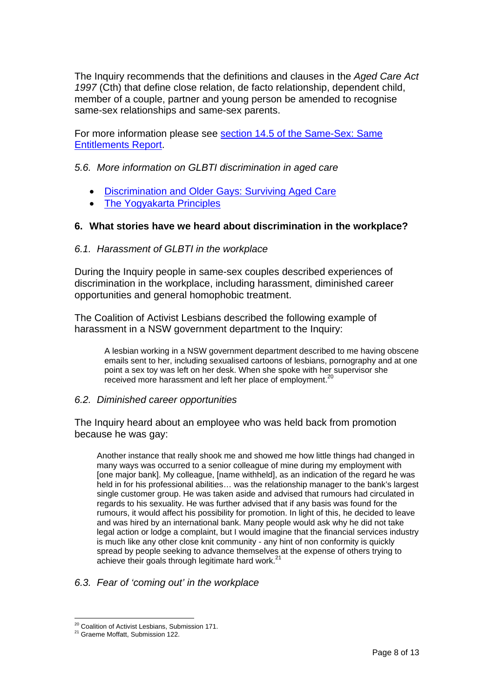The Inquiry recommends that the definitions and clauses in the *Aged Care Act 1997* (Cth) that define close relation, de facto relationship, dependent child, member of a couple, partner and young person be amended to recognise same-sex relationships and same-sex parents.

For more information please see section 14.5 of the Same-Sex: Same Entitlements Report.

### *5.6. More information on GLBTI discrimination in aged care*

- Discrimination and Older Gays: Surviving Aged Care
- The Yogyakarta Principles

### **6. What stories have we heard about discrimination in the workplace?**

### *6.1. Harassment of GLBTI in the workplace*

During the Inquiry people in same-sex couples described experiences of discrimination in the workplace, including harassment, diminished career opportunities and general homophobic treatment.

The Coalition of Activist Lesbians described the following example of harassment in a NSW government department to the Inquiry:

A lesbian working in a NSW government department described to me having obscene emails sent to her, including sexualised cartoons of lesbians, pornography and at one point a sex toy was left on her desk. When she spoke with her supervisor she received more harassment and left her place of employment.<sup>20</sup>

### *6.2. Diminished career opportunities*

The Inquiry heard about an employee who was held back from promotion because he was gay:

Another instance that really shook me and showed me how little things had changed in many ways was occurred to a senior colleague of mine during my employment with [one major bank]. My colleague, [name withheld], as an indication of the regard he was held in for his professional abilities… was the relationship manager to the bank's largest single customer group. He was taken aside and advised that rumours had circulated in regards to his sexuality. He was further advised that if any basis was found for the rumours, it would affect his possibility for promotion. In light of this, he decided to leave and was hired by an international bank. Many people would ask why he did not take legal action or lodge a complaint, but I would imagine that the financial services industry is much like any other close knit community - any hint of non conformity is quickly spread by people seeking to advance themselves at the expense of others trying to achieve their goals through legitimate hard work.<sup>2</sup>

### *6.3. Fear of 'coming out' in the workplace*

 $\overline{a}$ <sup>20</sup> Coalition of Activist Lesbians, Submission 171.<br><sup>21</sup> Graeme Moffatt, Submission 122.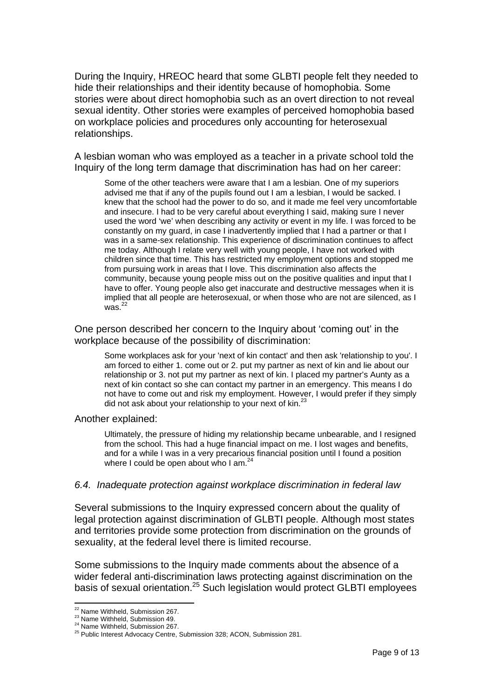During the Inquiry, HREOC heard that some GLBTI people felt they needed to hide their relationships and their identity because of homophobia. Some stories were about direct homophobia such as an overt direction to not reveal sexual identity. Other stories were examples of perceived homophobia based on workplace policies and procedures only accounting for heterosexual relationships.

A lesbian woman who was employed as a teacher in a private school told the Inquiry of the long term damage that discrimination has had on her career:

Some of the other teachers were aware that I am a lesbian. One of my superiors advised me that if any of the pupils found out I am a lesbian, I would be sacked. I knew that the school had the power to do so, and it made me feel very uncomfortable and insecure. I had to be very careful about everything I said, making sure I never used the word 'we' when describing any activity or event in my life. I was forced to be constantly on my guard, in case I inadvertently implied that I had a partner or that I was in a same-sex relationship. This experience of discrimination continues to affect me today. Although I relate very well with young people, I have not worked with children since that time. This has restricted my employment options and stopped me from pursuing work in areas that I love. This discrimination also affects the community, because young people miss out on the positive qualities and input that I have to offer. Young people also get inaccurate and destructive messages when it is implied that all people are heterosexual, or when those who are not are silenced, as I  $was.<sup>22</sup>$ 

One person described her concern to the Inquiry about 'coming out' in the workplace because of the possibility of discrimination:

Some workplaces ask for your 'next of kin contact' and then ask 'relationship to you'. I am forced to either 1. come out or 2. put my partner as next of kin and lie about our relationship or 3. not put my partner as next of kin. I placed my partner's Aunty as a next of kin contact so she can contact my partner in an emergency. This means I do not have to come out and risk my employment. However, I would prefer if they simply did not ask about your relationship to your next of kin.<sup>23</sup>

#### Another explained:

Ultimately, the pressure of hiding my relationship became unbearable, and I resigned from the school. This had a huge financial impact on me. I lost wages and benefits, and for a while I was in a very precarious financial position until I found a position where I could be open about who I am. $24$ 

#### *6.4. Inadequate protection against workplace discrimination in federal law*

Several submissions to the Inquiry expressed concern about the quality of legal protection against discrimination of GLBTI people. Although most states and territories provide some protection from discrimination on the grounds of sexuality, at the federal level there is limited recourse.

Some submissions to the Inquiry made comments about the absence of a wider federal anti-discrimination laws protecting against discrimination on the basis of sexual orientation.<sup>25</sup> Such legislation would protect GLBTI employees

<sup>&</sup>lt;sup>22</sup> Name Withheld, Submission 267.

<sup>23</sup> Name Withheld, Submission 49.<br><sup>24</sup> Name Withheld, Submission 267.<br><sup>25</sup> Public Interest Advocacy Centre, Submission 328; ACON, Submission 281.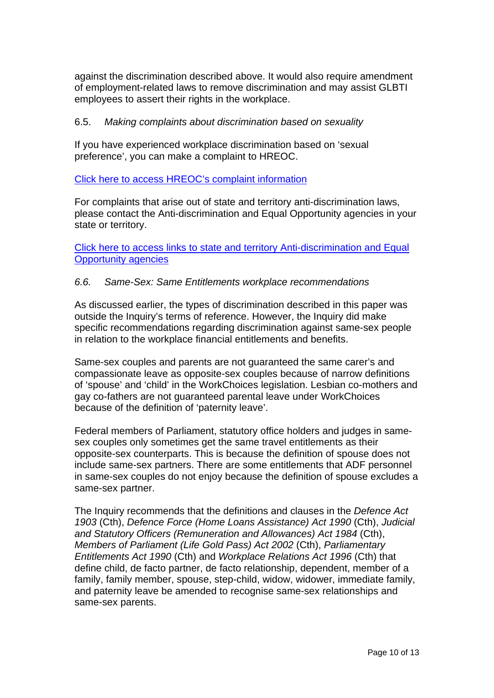against the discrimination described above. It would also require amendment of employment-related laws to remove discrimination and may assist GLBTI employees to assert their rights in the workplace.

## 6.5. *Making complaints about discrimination based on sexuality*

If you have experienced workplace discrimination based on 'sexual preference', you can make a complaint to HREOC.

Click here to access HREOC's complaint information

For complaints that arise out of state and territory anti-discrimination laws, please contact the Anti-discrimination and Equal Opportunity agencies in your state or territory.

Click here to access links to state and territory Anti-discrimination and Equal Opportunity agencies

# *6.6. Same-Sex: Same Entitlements workplace recommendations*

As discussed earlier, the types of discrimination described in this paper was outside the Inquiry's terms of reference. However, the Inquiry did make specific recommendations regarding discrimination against same-sex people in relation to the workplace financial entitlements and benefits.

Same-sex couples and parents are not guaranteed the same carer's and compassionate leave as opposite-sex couples because of narrow definitions of 'spouse' and 'child' in the WorkChoices legislation. Lesbian co-mothers and gay co-fathers are not guaranteed parental leave under WorkChoices because of the definition of 'paternity leave'.

Federal members of Parliament, statutory office holders and judges in samesex couples only sometimes get the same travel entitlements as their opposite-sex counterparts. This is because the definition of spouse does not include same-sex partners. There are some entitlements that ADF personnel in same-sex couples do not enjoy because the definition of spouse excludes a same-sex partner.

The Inquiry recommends that the definitions and clauses in the *Defence Act 1903* (Cth), *Defence Force (Home Loans Assistance) Act 1990* (Cth), *Judicial and Statutory Officers (Remuneration and Allowances) Act 1984* (Cth), *Members of Parliament (Life Gold Pass) Act 2002* (Cth), *Parliamentary Entitlements Act 1990* (Cth) and *Workplace Relations Act 1996* (Cth) that define child, de facto partner, de facto relationship, dependent, member of a family, family member, spouse, step-child, widow, widower, immediate family, and paternity leave be amended to recognise same-sex relationships and same-sex parents.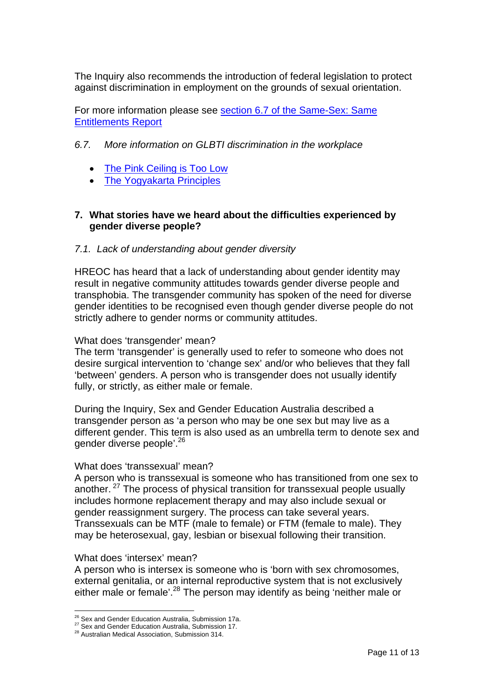The Inquiry also recommends the introduction of federal legislation to protect against discrimination in employment on the grounds of sexual orientation.

For more information please see section 6.7 of the Same-Sex: Same Entitlements Report

## *6.7. More information on GLBTI discrimination in the workplace*

- The Pink Ceiling is Too Low
- **The Yogyakarta Principles**

# **7. What stories have we heard about the difficulties experienced by gender diverse people?**

# *7.1. Lack of understanding about gender diversity*

HREOC has heard that a lack of understanding about gender identity may result in negative community attitudes towards gender diverse people and transphobia. The transgender community has spoken of the need for diverse gender identities to be recognised even though gender diverse people do not strictly adhere to gender norms or community attitudes.

#### What does 'transgender' mean?

The term 'transgender' is generally used to refer to someone who does not desire surgical intervention to 'change sex' and/or who believes that they fall 'between' genders. A person who is transgender does not usually identify fully, or strictly, as either male or female.

During the Inquiry, Sex and Gender Education Australia described a transgender person as 'a person who may be one sex but may live as a different gender. This term is also used as an umbrella term to denote sex and gender diverse people'.<sup>26</sup>

#### What does 'transsexual' mean?

A person who is transsexual is someone who has transitioned from one sex to another. 27 The process of physical transition for transsexual people usually includes hormone replacement therapy and may also include sexual or gender reassignment surgery. The process can take several years. Transsexuals can be MTF (male to female) or FTM (female to male). They may be heterosexual, gay, lesbian or bisexual following their transition.

#### What does 'intersex' mean?

A person who is intersex is someone who is 'born with sex chromosomes, external genitalia, or an internal reproductive system that is not exclusively either male or female'.<sup>28</sup> The person may identify as being 'neither male or

<sup>&</sup>lt;sup>26</sup> Sex and Gender Education Australia, Submission 17a.

<sup>27</sup> Sex and Gender Education Australia, Submission 17.<br><sup>28</sup> Australian Medical Association, Submission 314.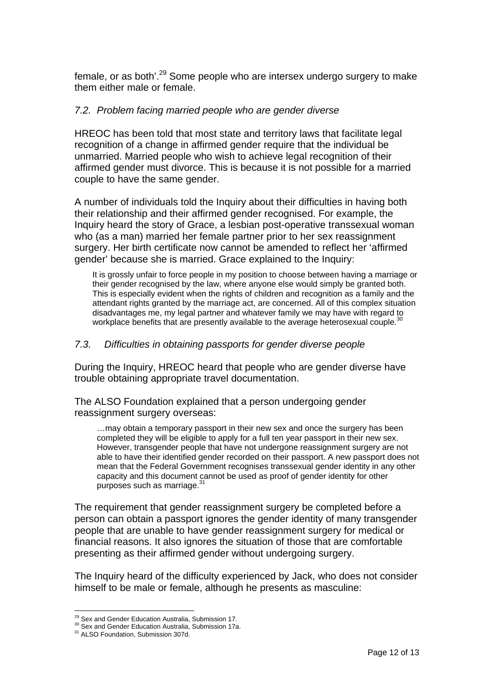female, or as both'.29 Some people who are intersex undergo surgery to make them either male or female.

## *7.2. Problem facing married people who are gender diverse*

HREOC has been told that most state and territory laws that facilitate legal recognition of a change in affirmed gender require that the individual be unmarried. Married people who wish to achieve legal recognition of their affirmed gender must divorce. This is because it is not possible for a married couple to have the same gender.

A number of individuals told the Inquiry about their difficulties in having both their relationship and their affirmed gender recognised. For example, the Inquiry heard the story of Grace, a lesbian post-operative transsexual woman who (as a man) married her female partner prior to her sex reassignment surgery. Her birth certificate now cannot be amended to reflect her 'affirmed gender' because she is married. Grace explained to the Inquiry:

It is grossly unfair to force people in my position to choose between having a marriage or their gender recognised by the law, where anyone else would simply be granted both. This is especially evident when the rights of children and recognition as a family and the attendant rights granted by the marriage act, are concerned. All of this complex situation disadvantages me, my legal partner and whatever family we may have with regard to workplace benefits that are presently available to the average heterosexual couple.<sup>30</sup>

# *7.3. Difficulties in obtaining passports for gender diverse people*

During the Inquiry, HREOC heard that people who are gender diverse have trouble obtaining appropriate travel documentation.

The ALSO Foundation explained that a person undergoing gender reassignment surgery overseas:

…may obtain a temporary passport in their new sex and once the surgery has been completed they will be eligible to apply for a full ten year passport in their new sex. However, transgender people that have not undergone reassignment surgery are not able to have their identified gender recorded on their passport. A new passport does not mean that the Federal Government recognises transsexual gender identity in any other capacity and this document cannot be used as proof of gender identity for other purposes such as marriage.31

The requirement that gender reassignment surgery be completed before a person can obtain a passport ignores the gender identity of many transgender people that are unable to have gender reassignment surgery for medical or financial reasons. It also ignores the situation of those that are comfortable presenting as their affirmed gender without undergoing surgery.

The Inquiry heard of the difficulty experienced by Jack, who does not consider himself to be male or female, although he presents as masculine:

<sup>&</sup>lt;sup>29</sup> Sex and Gender Education Australia, Submission 17.

<sup>30</sup> Sex and Gender Education Australia, Submission 17a.<br><sup>31</sup> ALSO Foundation, Submission 307d.